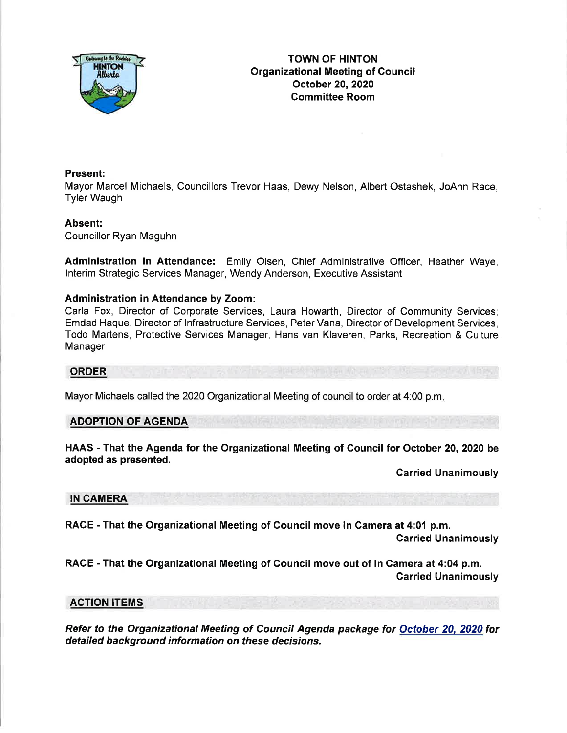

## Present:

Mayor Marcel Michaels, Councillors Trevor Haas, Dewy Nelson, Albert Ostashek, JoAnn Race, Tyler Waugh

### Absent:

Councillor Ryan Maguhn

Administration in Attendance: Emily Olsen, Chief Administrative Officer, Heather Waye, lnterim Strategic Services Manager, Wendy Anderson, Executive Assistant

### Administration in Attendance by Zoom:

Carla Fox, Director of Corporate Services, Laura Howarth, Director of Community Services; Emdad Haque, Director of lnfrastructure Services, Peter Vana, Director of Development Services, Todd Martens, Protective Services Manager, Hans van Klaveren, Parks, Recreation & Culture Manager

### ORDER

Mayor Michaels called the 2020 Organizational Meeting of council to order at 4:00 p.m

### ADOPTION OF AGENDA

HAAS - That the Agenda for the Organizational Meeting of Council for October 20, 2020 be adopted as presented.

Carried Unanimously

#### IN CAMERA

RAGE - That the Organizational Meeting of Council move ln Camera at 4:01 p.m.

Garried Unanimously

RACE - That the Organizational Meeting of Gouncil move out of In Gamera at 4:04 p.m. Garried Unanimously

### ACTION ITEMS

Refer to the Organizational Meeting of Council Agenda package for October 20, 2020 fordetailed background information on these decisions.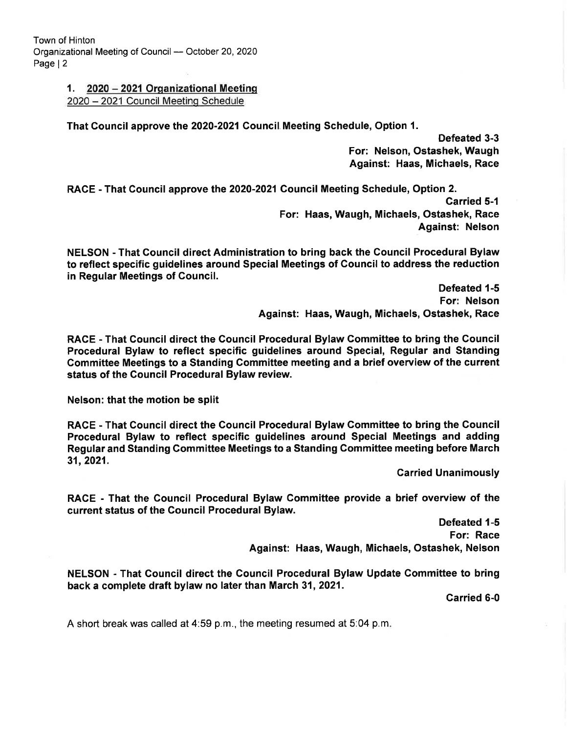# 1. 2020 - 2021 Orqanizational Meetins

<sup>2020</sup>- 2021 Council Meetinq Schedule

That Council approve the 2020-2021 Council Meeting Schedule, Option 1.

Defeated 3-3 For: Nelson, Ostashek, Waugh Against: Haas, Michaels, Race

RACE - That Gouncil approve the 2020-2021 Council Meeting Schedule, Option 2. Garried 5-1 For: Haas, Waugh, Michaels, Ostashek, Race Against: Nelson

NELSON - That Council direct Administration to bring back the Council Procedural Bylaw to reflect specific guidelines around Special Meetings of Council to address the reduction in Regular Meetings of Council.

> Defeated 1-5 For: Nelson Against: Haas, Waugh, Michaels, Ostashek, Race

RACE - That Gouncil direct the Gouncil Procedural Bylaw Gommittee to bring the Gouncil Procedural Bylaw to reflect specific guidelines around Special, Regular and Standing Committee Meetings to a Standing Gommittee meeting and a brief overview of the current status of the Gouncil Procedural Bylaw review.

Nelson: that the motion be split

RACE - That Gouncil direct the Council Procedural Bylaw Gommittee to bring the Gouncil Procedural Bylaw to reflect specific guidelines around Special Meetings and adding Regular and Standing Committee Meetings to a Standing Gommittee meeting before March 31,2021.

Carried Unanimously

RACE - That the Gouncil Procedural Bylaw Committee provide a brief overview of the current status of the Council Procedural Bylaw.

> Defeated 1-5 For: Race Against: Haas, Waugh, Michaels, Ostashek, Nelson

NELSON - That Gouncil direct the Council Procedural Bylaw Update Committee to bring back a complete draft bylaw no later than March 31,2021.

Carried 6-0

A short break was called at 4:59 p.m., the meeting resumed at 5:04 p.m